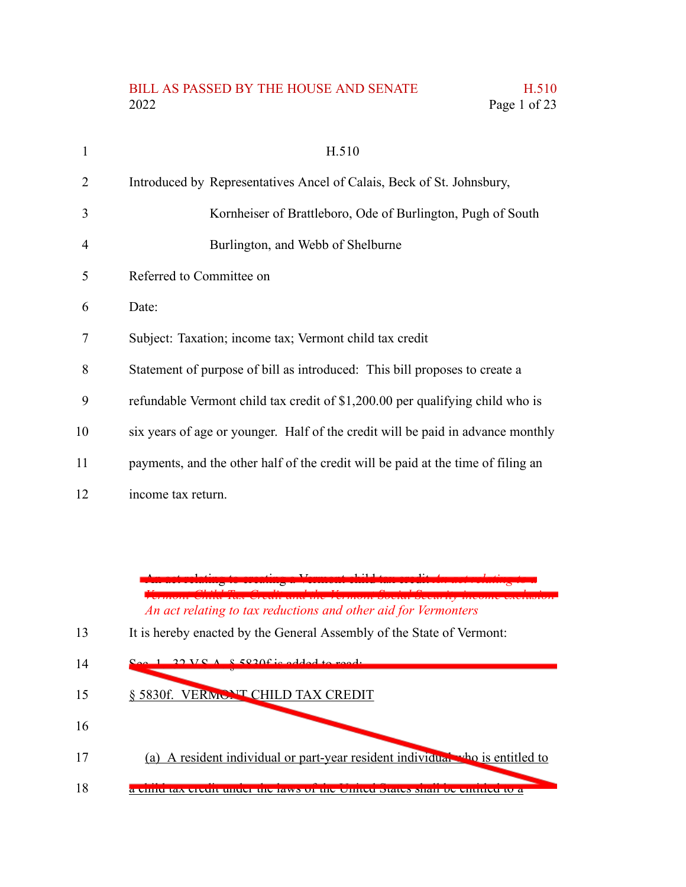## BILL AS PASSED BY THE HOUSE AND SENATE H.510 2022 Page 1 of 23

| 1  | H.510                                                                            |
|----|----------------------------------------------------------------------------------|
| 2  | Introduced by Representatives Ancel of Calais, Beck of St. Johnsbury,            |
| 3  | Kornheiser of Brattleboro, Ode of Burlington, Pugh of South                      |
| 4  | Burlington, and Webb of Shelburne                                                |
| 5  | Referred to Committee on                                                         |
| 6  | Date:                                                                            |
| 7  | Subject: Taxation; income tax; Vermont child tax credit                          |
| 8  | Statement of purpose of bill as introduced: This bill proposes to create a       |
| 9  | refundable Vermont child tax credit of \$1,200.00 per qualifying child who is    |
| 10 | six years of age or younger. Half of the credit will be paid in advance monthly  |
| 11 | payments, and the other half of the credit will be paid at the time of filing an |
| 12 | income tax return.                                                               |

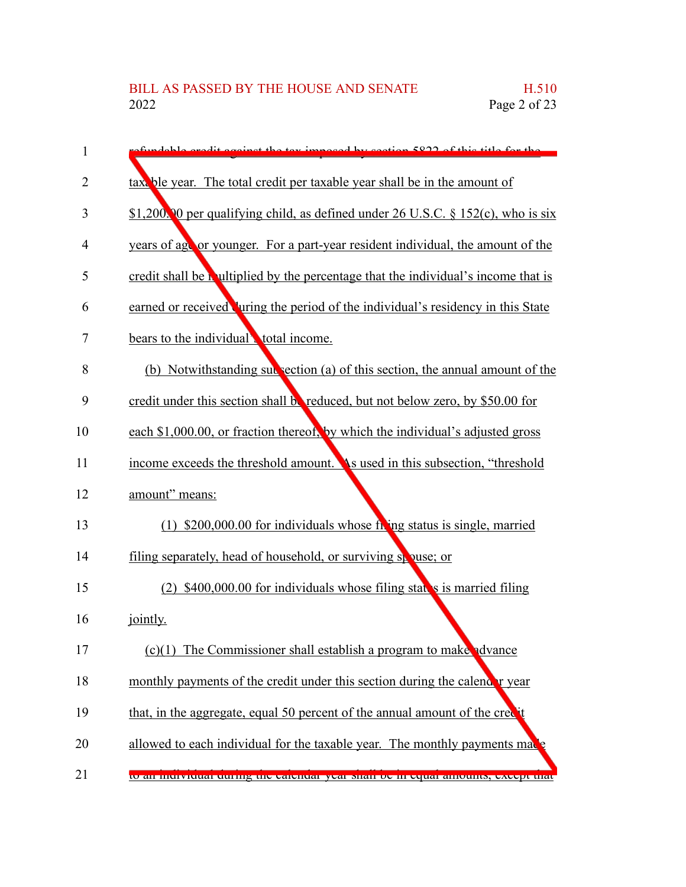| 1  | fundable evenit equips the tax imposed by section 5822 of this title for the         |
|----|--------------------------------------------------------------------------------------|
| 2  | taxt ble year. The total credit per taxable year shall be in the amount of           |
| 3  | \$1,200. O per qualifying child, as defined under 26 U.S.C. $\S 152(c)$ , who is six |
| 4  | years of ago or younger. For a part-year resident individual, the amount of the      |
| 5  | credit shall be a ultiplied by the percentage that the individual's income that is   |
| 6  | earned or received uring the period of the individual's residency in this State      |
| 7  | bears to the individual total income.                                                |
| 8  | (b) Notwithstanding subsection (a) of this section, the annual amount of the         |
| 9  | credit under this section shall be reduced, but not below zero, by \$50.00 for       |
| 10 | each \$1,000.00, or fraction thereof, by which the individual's adjusted gross       |
| 11 | income exceeds the threshold amount. As used in this subsection, "threshold"         |
| 12 | amount" means:                                                                       |
| 13 | $(1)$ \$200,000.00 for individuals whose from the status is single, married          |
| 14 | filing separately, head of household, or surviving spouse; or                        |
| 15 | $(2)$ \$400,000.00 for individuals whose filing states is married filing             |
| 16 | jointly.                                                                             |
| 17 | $(c)(1)$ The Commissioner shall establish a program to make advance                  |
| 18 | monthly payments of the credit under this section during the calendary year          |
| 19 | that, in the aggregate, equal 50 percent of the annual amount of the cree t          |
| 20 | allowed to each individual for the taxable year. The monthly payments may            |
| 21 | to an murviquar quring the carendar year shari be in equal amounts, except that      |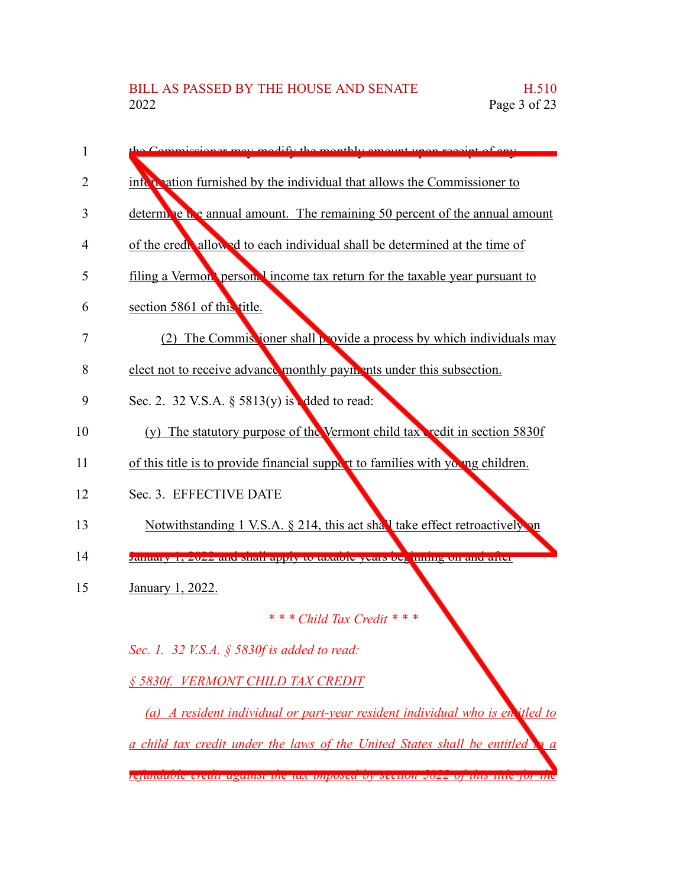| 1  | Commissioner may modify the monthly emount upon resolut of ony                             |
|----|--------------------------------------------------------------------------------------------|
| 2  | information furnished by the individual that allows the Commissioner to                    |
| 3  | determine the annual amount. The remaining 50 percent of the annual amount                 |
| 4  | of the credit allowed to each individual shall be determined at the time of                |
| 5  | filing a Vermon person. I income tax return for the taxable year pursuant to               |
| 6  | section 5861 of this title.                                                                |
| 7  | (2) The Commissioner shall provide a process by which individuals may                      |
| 8  | elect not to receive advance monthly payments under this subsection.                       |
| 9  | Sec. 2. 32 V.S.A. $\S$ 5813(y) is dded to read:                                            |
| 10 | (y) The statutory purpose of the Vermont child tax redit in section 5830f                  |
| 11 | of this title is to provide financial support to families with young children.             |
| 12 | Sec. 3. EFFECTIVE DATE                                                                     |
| 13 | Notwithstanding 1 V.S.A. § 214, this act shall take effect retroactively on                |
| 14 | January 1, 2022 and shan apply to taxaole years be. uning on and after                     |
| 15 | January 1, 2022.                                                                           |
|    | * * * Child Tax Credit * * *                                                               |
|    | Sec. 1. 32 V.S.A. $\S$ 5830f is added to read:                                             |
|    | § 5830f. VERMONT CHILD TAX CREDIT                                                          |
|    | (a) A resident individual or part-year resident individual who is entitled to              |
|    | a child tax credit under the laws of the United States shall be entitled<br>$\mathbf{p}$ a |

*refundable credit against the tax imposed by section 5822 of this title for the*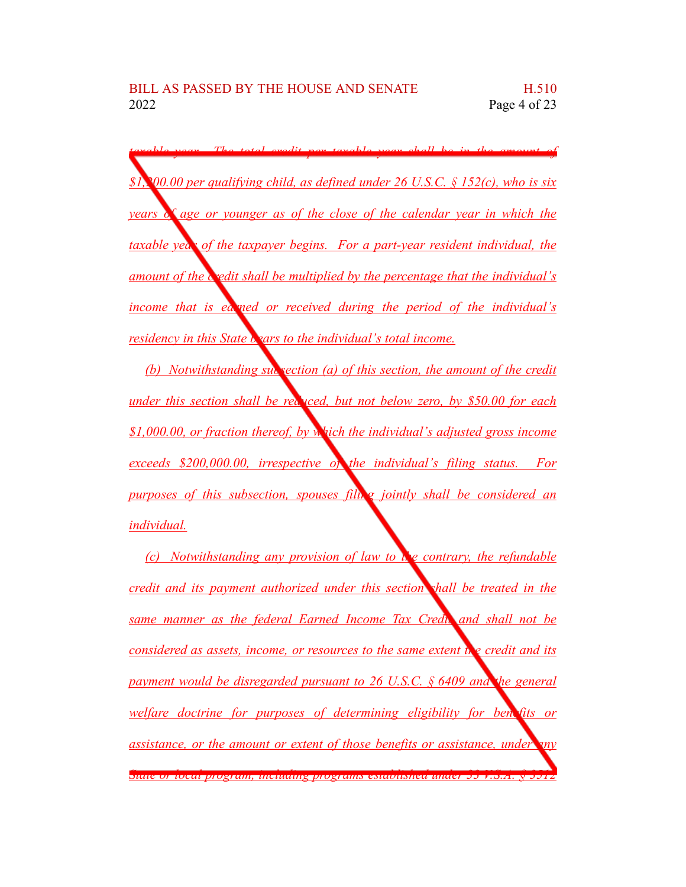*taxable year. The total credit per taxable year shall be in the amount of \$1,200.00 per qualifying child, as defined under 26 U.S.C. § 152(c), who is six years of age or younger as of the close of the calendar year in which the taxable year of the taxpayer begins. For a part-year resident individual, the amount of the credit shall be multiplied by the percentage that the individual's income that is earned or received during the period of the individual's residency in this State bears to the individual's total income.*

*(b) Notwithstanding subsection (a) of this section, the amount of the credit under this section shall be reduced, but not below zero, by \$50.00 for each \$1,000.00, or fraction thereof, by which the individual's adjusted gross income exceeds \$200,000.00, irrespective of the individual's filing status. For purposes of this subsection, spouses filing jointly shall be considered an individual.*

*(c) Notwithstanding any provision of law to the contrary, the refundable credit and its payment authorized under this section shall be treated in the same manner as the federal Earned Income Tax Credit and shall not be considered as assets, income, or resources to the same extent the credit and its payment would be disregarded pursuant to 26 U.S.C. § 6409 and the general welfare doctrine for purposes of determining eligibility for benefits or assistance, or the amount or extent of those benefits or assistance, under any State or local program, including programs established under 33 V.S.A. § 3512*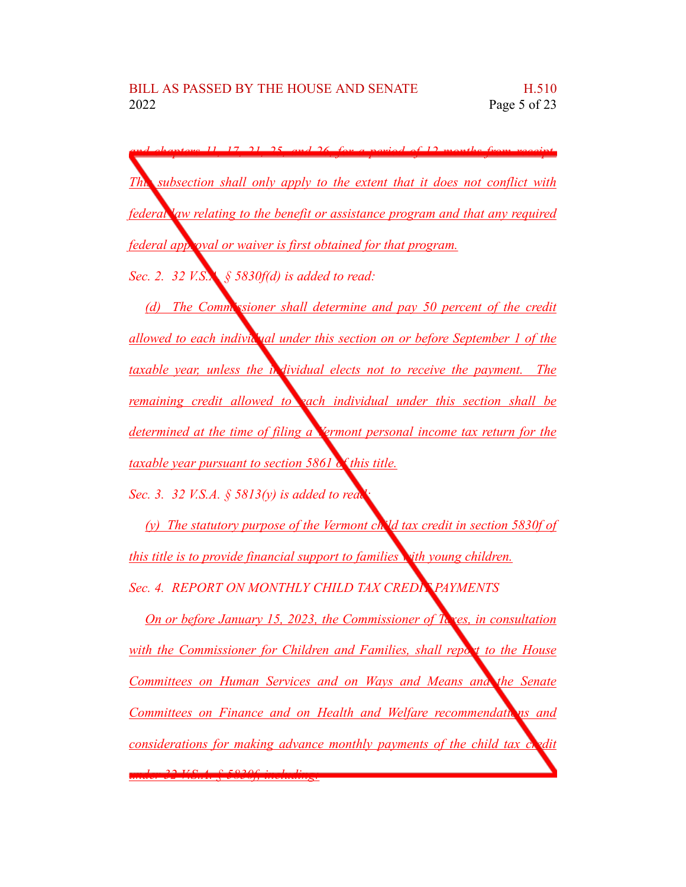*and chapters 11, 17, 21, 25, and 26, for a period of 12 months from receipt. This subsection shall only apply to the extent that it does not conflict with federal law relating to the benefit or assistance program and that any required federal approval or waiver is first obtained for that program.* 

*Sec. 2. 32 V.S.A. § 5830f(d) is added to read:*

*(d) The Commissioner shall determine and pay 50 percent of the credit allowed to each individual under this section on or before September 1 of the taxable year, unless the individual elects not to receive the payment. The remaining credit allowed to each individual under this section shall be determined at the time of filing a Vermont personal income tax return for the taxable year pursuant to section 5861 of this title.*

*Sec. 3. 32 V.S.A. § 5813(y) is added to read:*

*(y) The statutory purpose of the Vermont child tax credit in section 5830f of this title is to provide financial support to families with young children. Sec. 4. REPORT ON MONTHLY CHILD TAX CREDIT PAYMENTS*

*On or before January 15, 2023, the Commissioner of Taxes, in consultation with the Commissioner for Children and Families, shall report to the House Committees on Human Services and on Ways and Means and the Senate Committees on Finance and on Health and Welfare recommendations and considerations for making advance monthly payments of the child tax credit under 32 V.S.A. § 5830f, including:*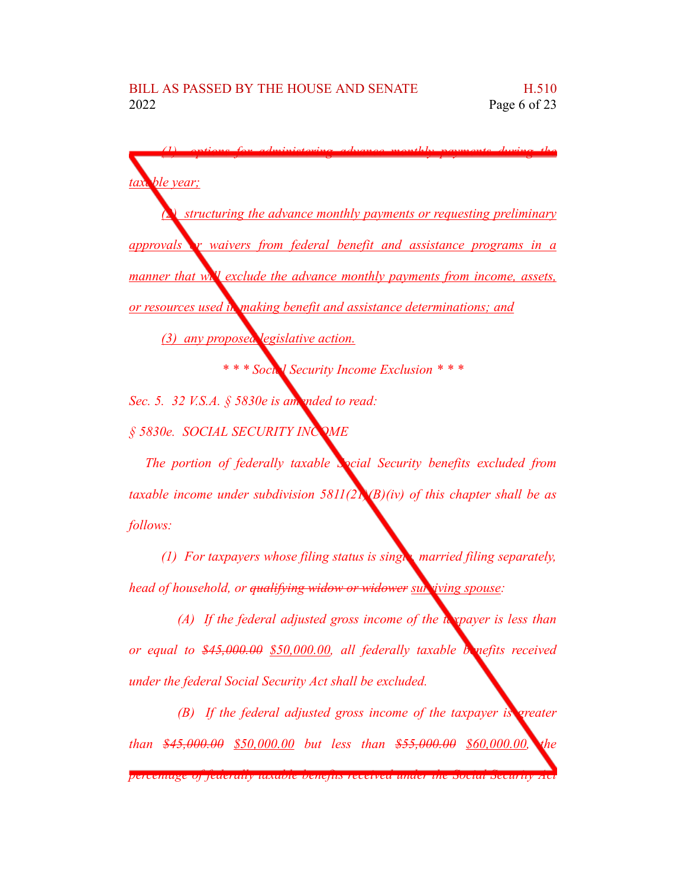*(1) options for administering advance monthly payments during the* ble *vear*; *(2) structuring the advance monthly payments or requesting preliminary approvals or waivers from federal benefit and assistance programs in a manner that will exclude the advance monthly payments from income, assets, or resources used in making benefit and assistance determinations; and (3) any proposed legislative action. \* \* \* Social Security Income Exclusion \* \* \* Sec. 5. 32 V.S.A. § 5830e is amended to read: § 5830e. SOCIAL SECURITY INCOME The portion of federally taxable Social Security benefits excluded from taxable income under subdivision 5811(21)(B)(iv) of this chapter shall be as*

*follows:*

*(1) For taxpayers whose filing status is single, married filing separately, head of household, or qualifying widow or widower surviving spouse:*

*(A) If the federal adjusted gross income of the taxpayer is less than or equal to \$45,000.00 \$50,000.00, all federally taxable benefits received under the federal Social Security Act shall be excluded.*

*(B) If the federal adjusted gross income of the taxpayer is greater than \$45,000.00 \$50,000.00 but less than \$55,000.00 \$60,000.00, the*

*percentage of federally taxable benefits received under the Social Security Act*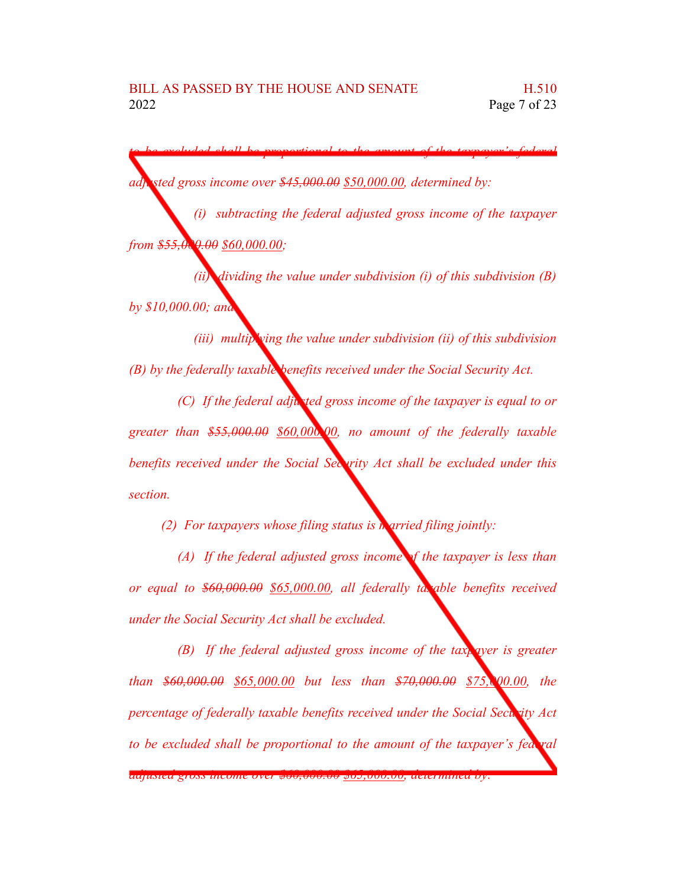*to be excluded shall be proportional to the amount of the taxpayer's federal adjusted gross income over \$45,000.00 \$50,000.00, determined by:*

*(i) subtracting the federal adjusted gross income of the taxpayer from \$55,000.00 \$60,000.00;*

*(ii) dividing the value under subdivision (i) of this subdivision (B) by \$10,000.00; and*

*(iii) multiplying the value under subdivision (ii) of this subdivision (B) by the federally taxable benefits received under the Social Security Act.*

*(C) If the federal adjusted gross income of the taxpayer is equal to or greater than \$55,000.00 \$60,000.00, no amount of the federally taxable benefits received under the Social Security Act shall be excluded under this section.*

*(2) For taxpayers whose filing status is married filing jointly:*

*(A) If the federal adjusted gross income of the taxpayer is less than or equal to \$60,000.00 \$65,000.00, all federally taxable benefits received under the Social Security Act shall be excluded.*

*(B) If the federal adjusted gross income of the taxpayer is greater than \$60,000.00 \$65,000.00 but less than \$70,000.00 \$75,000.00, the percentage of federally taxable benefits received under the Social Security Act to be excluded shall be proportional to the amount of the taxpayer's federal*

*adjusted gross income over \$60,000.00 \$65,000.00, determined by:*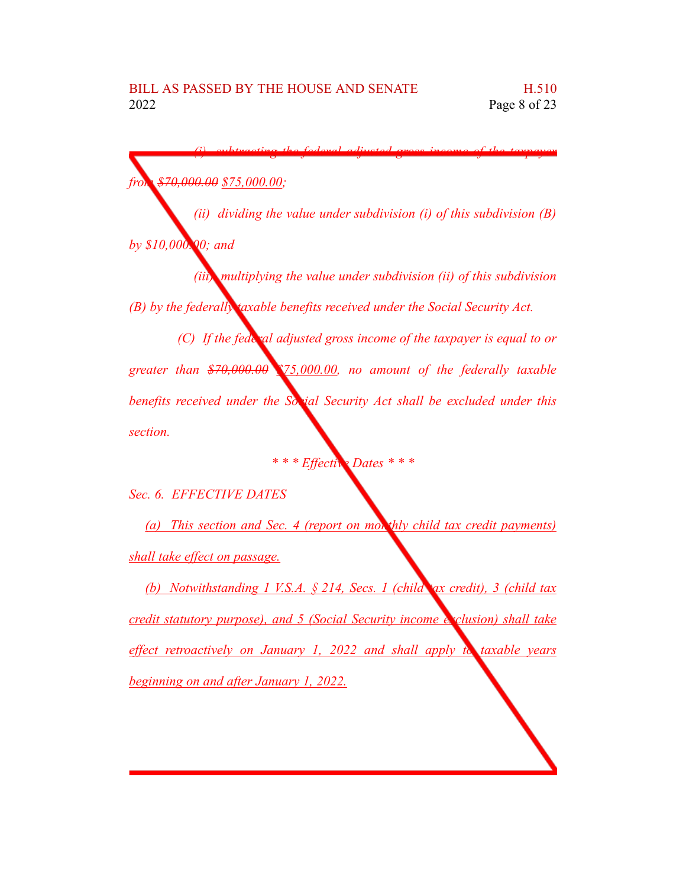*from \$70,000.00 \$75,000.00;*

*(ii) dividing the value under subdivision (i) of this subdivision (B) by \$10,000.00; and*

*(i) subtracting the federal adjusted gross income of the taxpayer*

*(iii) multiplying the value under subdivision (ii) of this subdivision (B) by the federally taxable benefits received under the Social Security Act.*

*(C) If the federal adjusted gross income of the taxpayer is equal to or greater than \$70,000.00 \$75,000.00, no amount of the federally taxable benefits received under the Social Security Act shall be excluded under this section.*

*\* \* \* Effective Dates \* \* \**

*Sec. 6. EFFECTIVE DATES*

*(a) This section and Sec. 4 (report on monthly child tax credit payments) shall take effect on passage.*

*(b) Notwithstanding 1 V.S.A. § 214, Secs. 1 (child tax credit), 3 (child tax credit statutory purpose), and 5 (Social Security income exclusion) shall take effect retroactively on January 1, 2022 and shall apply to taxable years beginning on and after January 1, 2022.*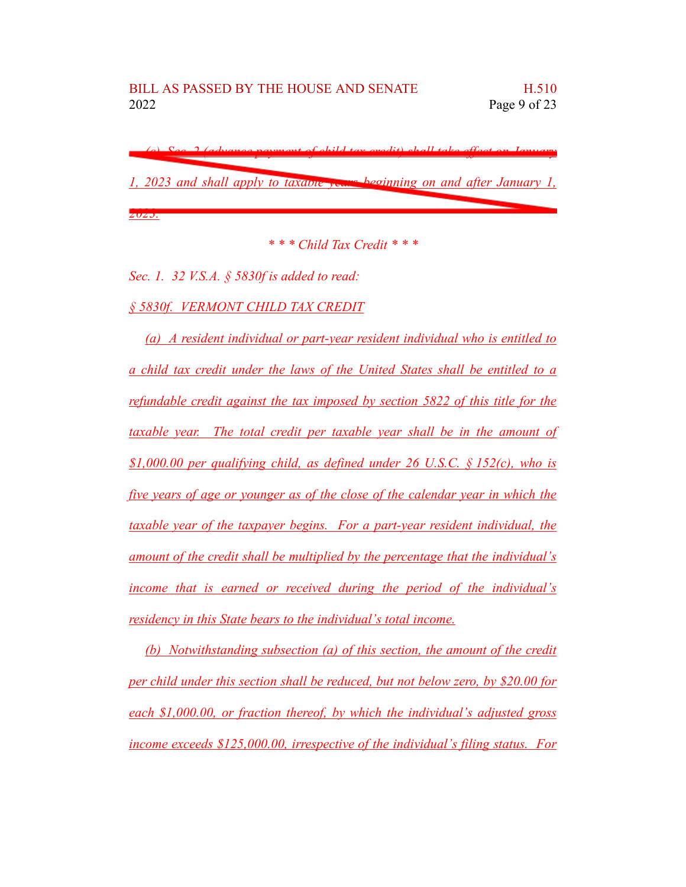*(c) Sec. 2 (advance payment of child tax credit) shall take effect on January 1, 2023 and shall apply to taxable years beginning on and after January 1, 2023.*

*\* \* \* Child Tax Credit \* \* \**

*Sec. 1. 32 V.S.A. § 5830f is added to read:*

*§ 5830f. VERMONT CHILD TAX CREDIT*

*(a) A resident individual or part-year resident individual who is entitled to a child tax credit under the laws of the United States shall be entitled to a refundable credit against the tax imposed by section 5822 of this title for the taxable year. The total credit per taxable year shall be in the amount of \$1,000.00 per qualifying child, as defined under 26 U.S.C. § 152(c), who is five years of age or younger as of the close of the calendar year in which the taxable year of the taxpayer begins. For a part-year resident individual, the amount of the credit shall be multiplied by the percentage that the individual's income that is earned or received during the period of the individual's residency in this State bears to the individual's total income.*

*(b) Notwithstanding subsection (a) of this section, the amount of the credit per child under this section shall be reduced, but not below zero, by \$20.00 for each \$1,000.00, or fraction thereof, by which the individual's adjusted gross income exceeds \$125,000.00, irrespective of the individual's filing status. For*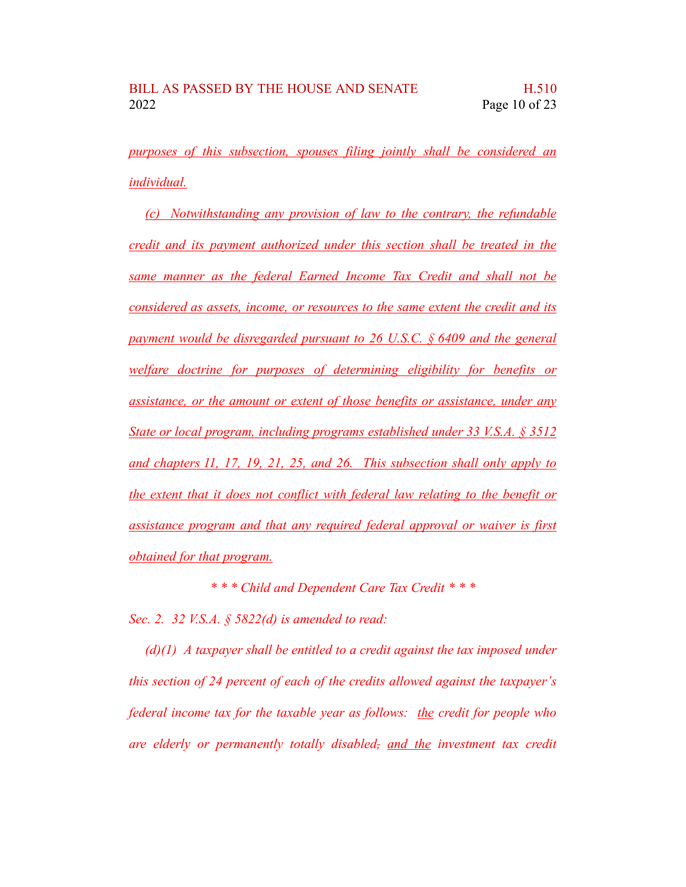*purposes of this subsection, spouses filing jointly shall be considered an individual.*

*(c) Notwithstanding any provision of law to the contrary, the refundable credit and its payment authorized under this section shall be treated in the same manner as the federal Earned Income Tax Credit and shall not be considered as assets, income, or resources to the same extent the credit and its payment would be disregarded pursuant to 26 U.S.C. § 6409 and the general welfare doctrine for purposes of determining eligibility for benefits or assistance, or the amount or extent of those benefits or assistance, under any State or local program, including programs established under 33 V.S.A. § 3512 and chapters 11, 17, 19, 21, 25, and 26. This subsection shall only apply to the extent that it does not conflict with federal law relating to the benefit or assistance program and that any required federal approval or waiver is first obtained for that program.*

*\* \* \* Child and Dependent Care Tax Credit \* \* \**

*Sec. 2. 32 V.S.A. § 5822(d) is amended to read:*

*(d)(1) A taxpayer shall be entitled to a credit against the tax imposed under this section of 24 percent of each of the credits allowed against the taxpayer's federal income tax for the taxable year as follows: the credit for people who are elderly or permanently totally disabled, and the investment tax credit*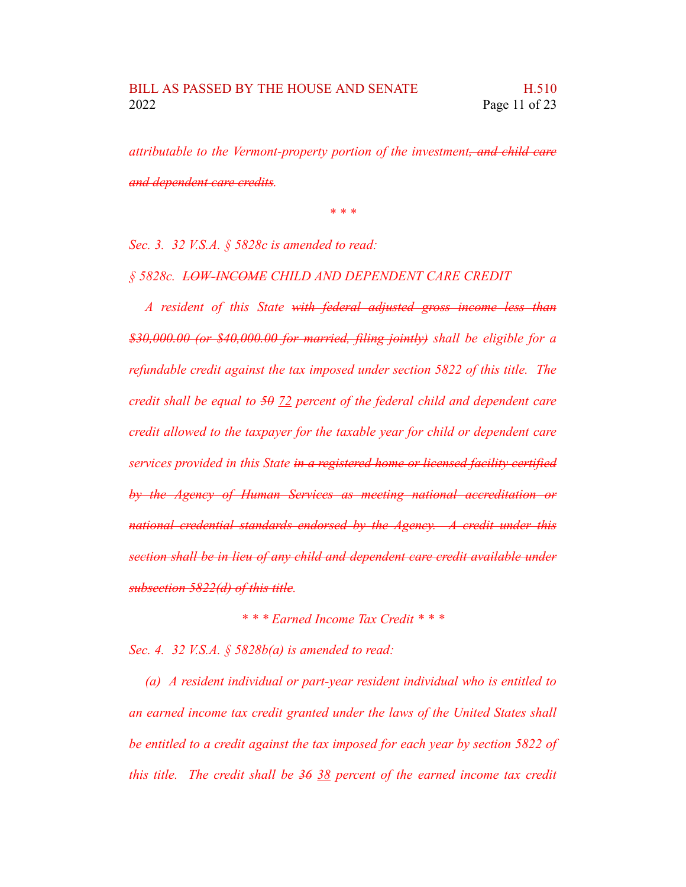*attributable to the Vermont-property portion of the investment, and child care and dependent care credits.*

*\* \* \**

*Sec. 3. 32 V.S.A. § 5828c is amended to read:*

*§ 5828c. LOW-INCOME CHILD AND DEPENDENT CARE CREDIT*

*A resident of this State with federal adjusted gross income less than \$30,000.00 (or \$40,000.00 for married, filing jointly) shall be eligible for a refundable credit against the tax imposed under section 5822 of this title. The credit shall be equal to 50 72 percent of the federal child and dependent care credit allowed to the taxpayer for the taxable year for child or dependent care services provided in this State in a registered home or licensed facility certified by the Agency of Human Services as meeting national accreditation or national credential standards endorsed by the Agency. A credit under this section shall be in lieu of any child and dependent care credit available under subsection 5822(d) of this title.*

*\* \* \* Earned Income Tax Credit \* \* \**

*Sec. 4. 32 V.S.A. § 5828b(a) is amended to read:*

*(a) A resident individual or part-year resident individual who is entitled to an earned income tax credit granted under the laws of the United States shall be entitled to a credit against the tax imposed for each year by section 5822 of this title. The credit shall be 36 38 percent of the earned income tax credit*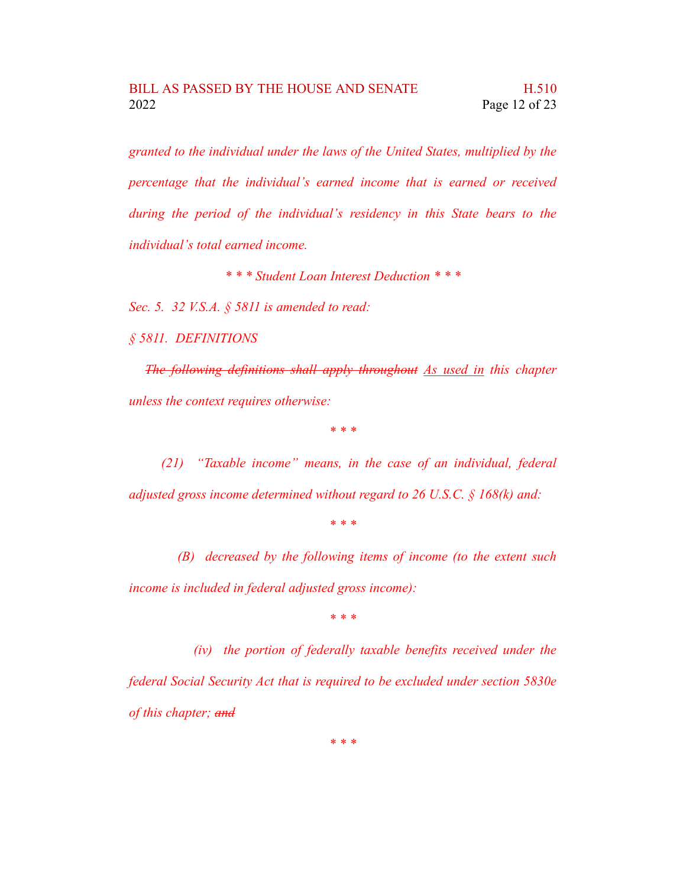*granted to the individual under the laws of the United States, multiplied by the percentage that the individual's earned income that is earned or received during the period of the individual's residency in this State bears to the individual's total earned income.*

*\* \* \* Student Loan Interest Deduction \* \* \**

*Sec. 5. 32 V.S.A. § 5811 is amended to read:*

*§ 5811. DEFINITIONS*

*The following definitions shall apply throughout As used in this chapter unless the context requires otherwise:*

*\* \* \**

*(21) "Taxable income" means, in the case of an individual, federal adjusted gross income determined without regard to 26 U.S.C. § 168(k) and:*

*\* \* \**

*(B) decreased by the following items of income (to the extent such income is included in federal adjusted gross income):*

*\* \* \**

*(iv) the portion of federally taxable benefits received under the federal Social Security Act that is required to be excluded under section 5830e of this chapter; and*

*\* \* \**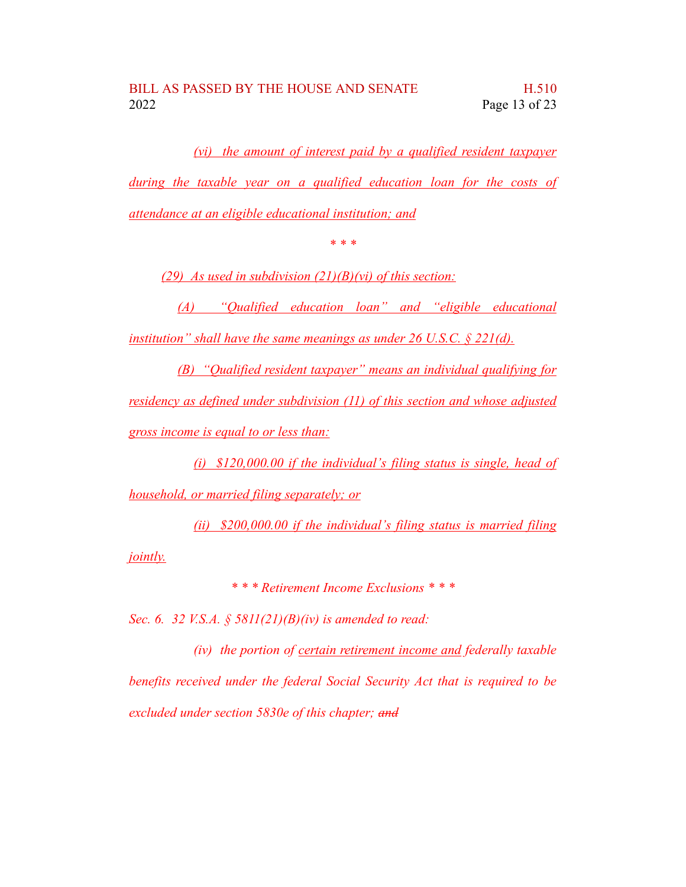*(vi) the amount of interest paid by a qualified resident taxpayer during the taxable year on a qualified education loan for the costs of attendance at an eligible educational institution; and*

*\* \* \**

*(29) As used in subdivision (21)(B)(vi) of this section:*

*(A) "Qualified education loan" and "eligible educational institution" shall have the same meanings as under 26 U.S.C. § 221(d).*

*(B) "Qualified resident taxpayer" means an individual qualifying for residency as defined under subdivision (11) of this section and whose adjusted gross income is equal to or less than:*

*(i) \$120,000.00 if the individual's filing status is single, head of household, or married filing separately; or*

*(ii) \$200,000.00 if the individual's filing status is married filing jointly.*

*\* \* \* Retirement Income Exclusions \* \* \**

*Sec. 6. 32 V.S.A. § 5811(21)(B)(iv) is amended to read:*

*(iv) the portion of certain retirement income and federally taxable benefits received under the federal Social Security Act that is required to be excluded under section 5830e of this chapter; and*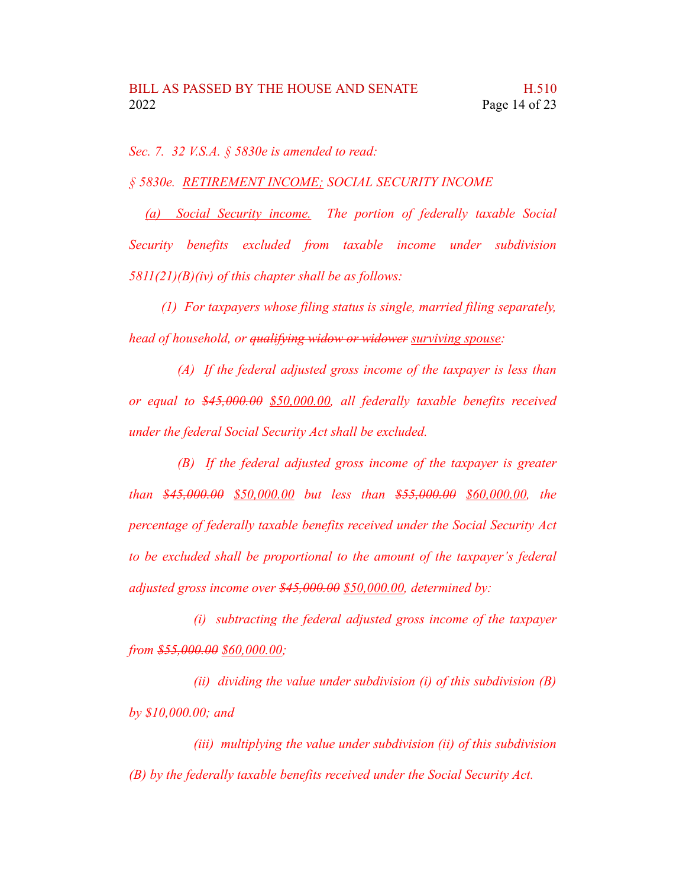*Sec. 7. 32 V.S.A. § 5830e is amended to read:*

*§ 5830e. RETIREMENT INCOME; SOCIAL SECURITY INCOME*

*(a) Social Security income. The portion of federally taxable Social Security benefits excluded from taxable income under subdivision 5811(21)(B)(iv) of this chapter shall be as follows:*

*(1) For taxpayers whose filing status is single, married filing separately, head of household, or qualifying widow or widower surviving spouse:*

*(A) If the federal adjusted gross income of the taxpayer is less than or equal to \$45,000.00 \$50,000.00, all federally taxable benefits received under the federal Social Security Act shall be excluded.*

*(B) If the federal adjusted gross income of the taxpayer is greater than \$45,000.00 \$50,000.00 but less than \$55,000.00 \$60,000.00, the percentage of federally taxable benefits received under the Social Security Act to be excluded shall be proportional to the amount of the taxpayer's federal adjusted gross income over \$45,000.00 \$50,000.00, determined by:*

*(i) subtracting the federal adjusted gross income of the taxpayer from \$55,000.00 \$60,000.00;*

*(ii) dividing the value under subdivision (i) of this subdivision (B) by \$10,000.00; and*

*(iii) multiplying the value under subdivision (ii) of this subdivision (B) by the federally taxable benefits received under the Social Security Act.*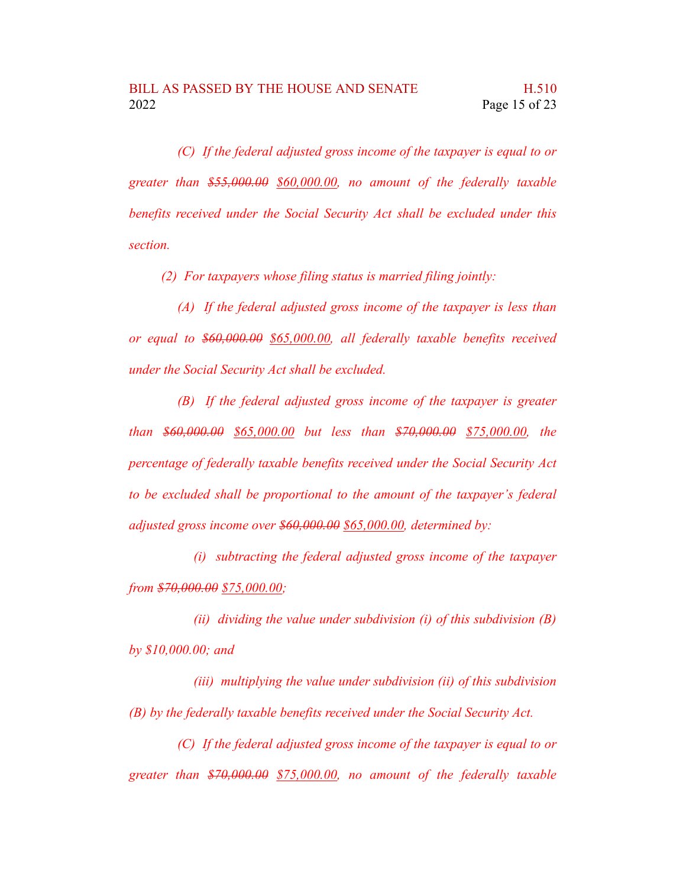*(C) If the federal adjusted gross income of the taxpayer is equal to or greater than \$55,000.00 \$60,000.00, no amount of the federally taxable benefits received under the Social Security Act shall be excluded under this section.*

*(2) For taxpayers whose filing status is married filing jointly:*

*(A) If the federal adjusted gross income of the taxpayer is less than or equal to \$60,000.00 \$65,000.00, all federally taxable benefits received under the Social Security Act shall be excluded.*

*(B) If the federal adjusted gross income of the taxpayer is greater than \$60,000.00 \$65,000.00 but less than \$70,000.00 \$75,000.00, the percentage of federally taxable benefits received under the Social Security Act to be excluded shall be proportional to the amount of the taxpayer's federal adjusted gross income over \$60,000.00 \$65,000.00, determined by:*

*(i) subtracting the federal adjusted gross income of the taxpayer from \$70,000.00 \$75,000.00;*

*(ii) dividing the value under subdivision (i) of this subdivision (B) by \$10,000.00; and*

*(iii) multiplying the value under subdivision (ii) of this subdivision (B) by the federally taxable benefits received under the Social Security Act.*

*(C) If the federal adjusted gross income of the taxpayer is equal to or greater than \$70,000.00 \$75,000.00, no amount of the federally taxable*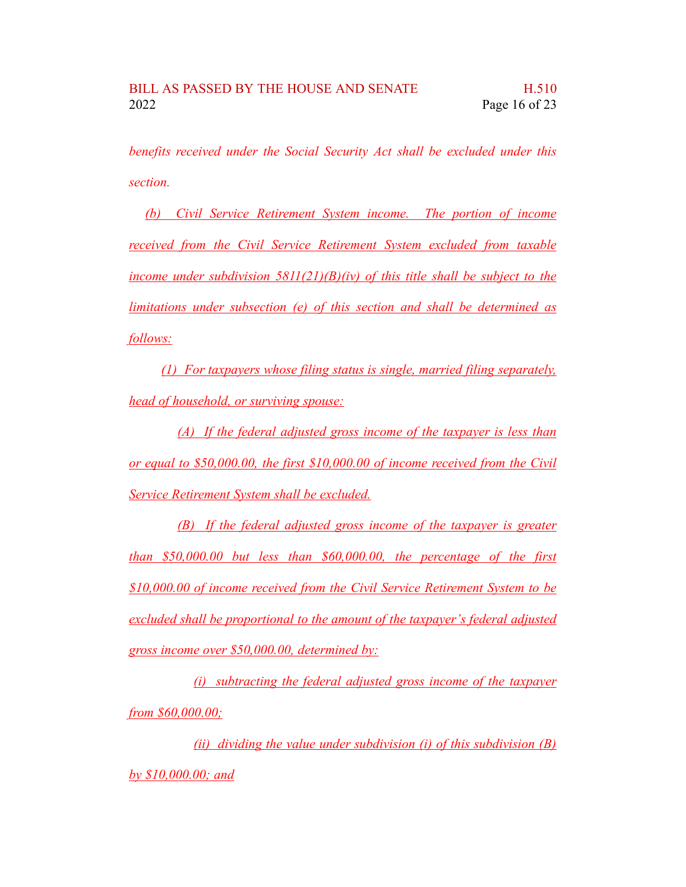*benefits received under the Social Security Act shall be excluded under this section.*

*(b) Civil Service Retirement System income. The portion of income received from the Civil Service Retirement System excluded from taxable income under subdivision 5811(21)(B)(iv) of this title shall be subject to the limitations under subsection (e) of this section and shall be determined as follows:*

*(1) For taxpayers whose filing status is single, married filing separately, head of household, or surviving spouse:*

*(A) If the federal adjusted gross income of the taxpayer is less than or equal to \$50,000.00, the first \$10,000.00 of income received from the Civil Service Retirement System shall be excluded.*

*(B) If the federal adjusted gross income of the taxpayer is greater than \$50,000.00 but less than \$60,000.00, the percentage of the first \$10,000.00 of income received from the Civil Service Retirement System to be excluded shall be proportional to the amount of the taxpayer's federal adjusted gross income over \$50,000.00, determined by:*

*(i) subtracting the federal adjusted gross income of the taxpayer from \$60,000.00;*

*(ii) dividing the value under subdivision (i) of this subdivision (B) by \$10,000.00; and*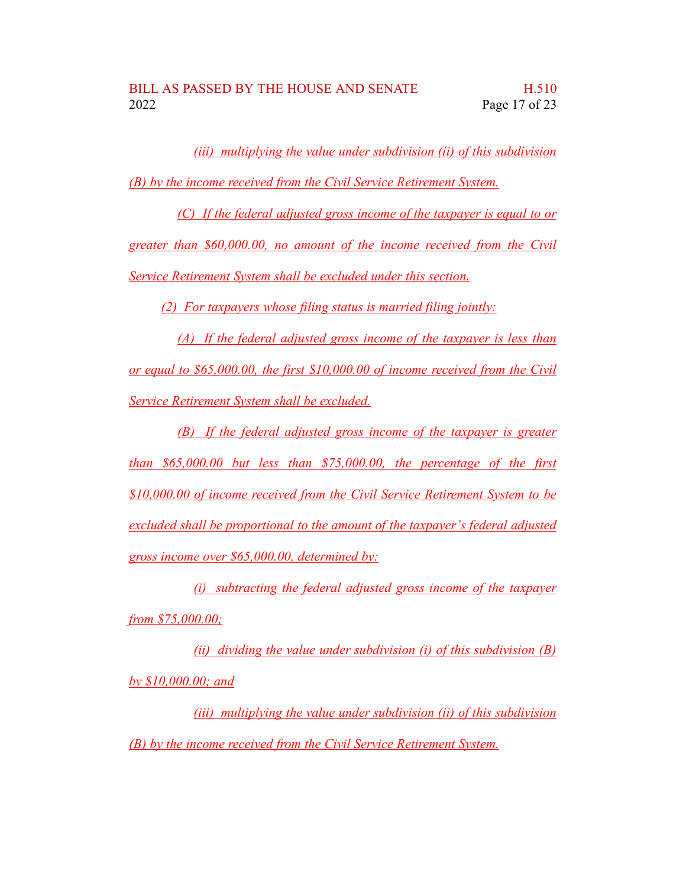*(iii) multiplying the value under subdivision (ii) of this subdivision (B) by the income received from the Civil Service Retirement System.*

*(C) If the federal adjusted gross income of the taxpayer is equal to or greater than \$60,000.00, no amount of the income received from the Civil Service Retirement System shall be excluded under this section.*

*(2) For taxpayers whose filing status is married filing jointly:*

*(A) If the federal adjusted gross income of the taxpayer is less than or equal to \$65,000.00, the first \$10,000.00 of income received from the Civil Service Retirement System shall be excluded.*

*(B) If the federal adjusted gross income of the taxpayer is greater than \$65,000.00 but less than \$75,000.00, the percentage of the first \$10,000.00 of income received from the Civil Service Retirement System to be excluded shall be proportional to the amount of the taxpayer's federal adjusted gross income over \$65,000.00, determined by:*

*(i) subtracting the federal adjusted gross income of the taxpayer from \$75,000.00;*

*(ii) dividing the value under subdivision (i) of this subdivision (B) by \$10,000.00; and*

*(iii) multiplying the value under subdivision (ii) of this subdivision (B) by the income received from the Civil Service Retirement System.*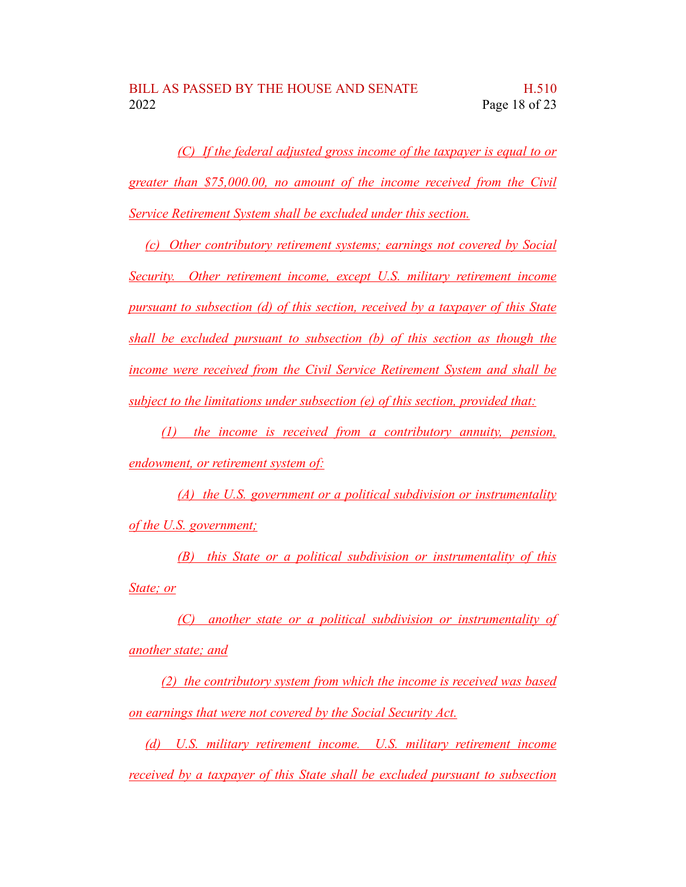*(C) If the federal adjusted gross income of the taxpayer is equal to or greater than \$75,000.00, no amount of the income received from the Civil Service Retirement System shall be excluded under this section.*

*(c) Other contributory retirement systems; earnings not covered by Social Security. Other retirement income, except U.S. military retirement income pursuant to subsection (d) of this section, received by a taxpayer of this State shall be excluded pursuant to subsection (b) of this section as though the income were received from the Civil Service Retirement System and shall be subject to the limitations under subsection (e) of this section, provided that:*

*(1) the income is received from a contributory annuity, pension, endowment, or retirement system of:*

*(A) the U.S. government or a political subdivision or instrumentality of the U.S. government;*

*(B) this State or a political subdivision or instrumentality of this State; or*

*(C) another state or a political subdivision or instrumentality of another state; and*

*(2) the contributory system from which the income is received was based on earnings that were not covered by the Social Security Act.*

*(d) U.S. military retirement income. U.S. military retirement income received by a taxpayer of this State shall be excluded pursuant to subsection*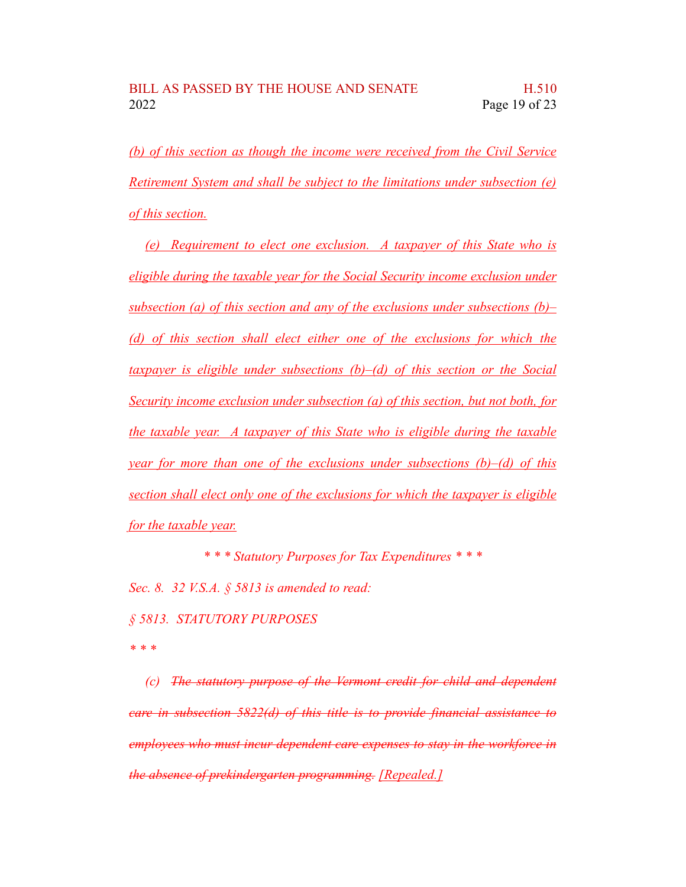*(b) of this section as though the income were received from the Civil Service Retirement System and shall be subject to the limitations under subsection (e) of this section.*

*(e) Requirement to elect one exclusion. A taxpayer of this State who is eligible during the taxable year for the Social Security income exclusion under subsection (a) of this section and any of the exclusions under subsections (b)– (d) of this section shall elect either one of the exclusions for which the taxpayer is eligible under subsections (b)–(d) of this section or the Social Security income exclusion under subsection (a) of this section, but not both, for the taxable year. A taxpayer of this State who is eligible during the taxable year for more than one of the exclusions under subsections (b)–(d) of this section shall elect only one of the exclusions for which the taxpayer is eligible for the taxable year.*

*\* \* \* Statutory Purposes for Tax Expenditures \* \* \**

*Sec. 8. 32 V.S.A. § 5813 is amended to read:*

*§ 5813. STATUTORY PURPOSES*

*\* \* \**

*(c) The statutory purpose of the Vermont credit for child and dependent care in subsection 5822(d) of this title is to provide financial assistance to employees who must incur dependent care expenses to stay in the workforce in the absence of prekindergarten programming. [Repealed.]*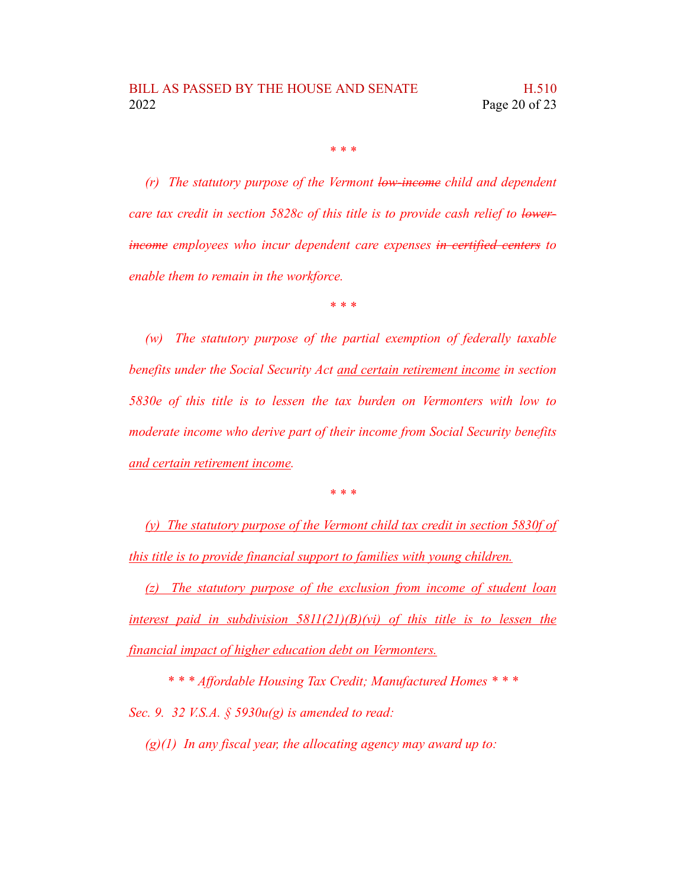*\* \* \**

*(r) The statutory purpose of the Vermont low-income child and dependent care tax credit in section 5828c of this title is to provide cash relief to lowerincome employees who incur dependent care expenses in certified centers to enable them to remain in the workforce.*

*\* \* \**

*(w) The statutory purpose of the partial exemption of federally taxable benefits under the Social Security Act and certain retirement income in section 5830e of this title is to lessen the tax burden on Vermonters with low to moderate income who derive part of their income from Social Security benefits and certain retirement income.*

*\* \* \**

*(y) The statutory purpose of the Vermont child tax credit in section 5830f of this title is to provide financial support to families with young children.*

*(z) The statutory purpose of the exclusion from income of student loan interest paid in subdivision 5811(21)(B)(vi) of this title is to lessen the financial impact of higher education debt on Vermonters.*

*\* \* \* Affordable Housing Tax Credit; Manufactured Homes \* \* \* Sec. 9. 32 V.S.A. § 5930u(g) is amended to read:*

*(g)(1) In any fiscal year, the allocating agency may award up to:*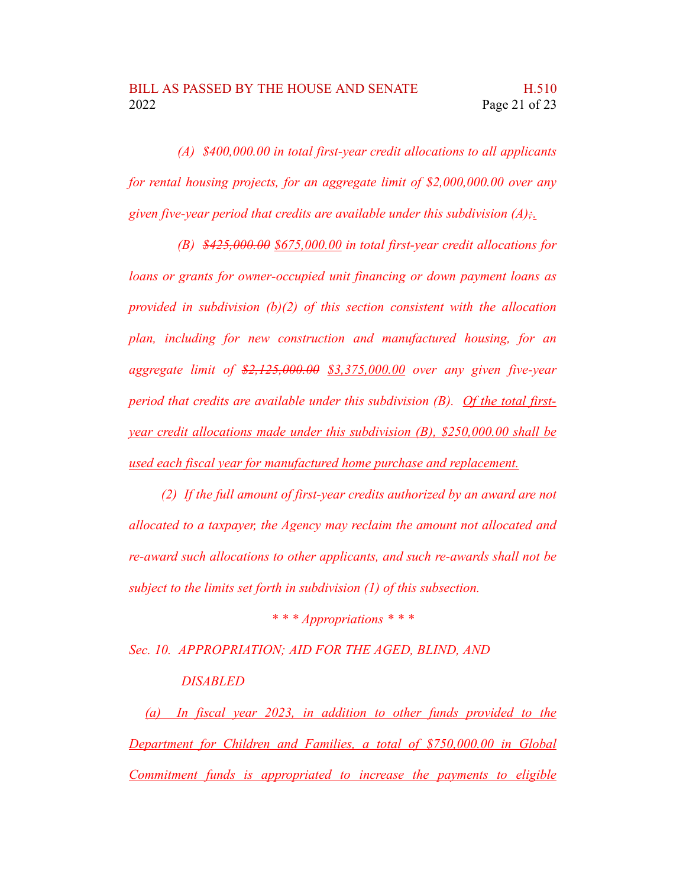*(A) \$400,000.00 in total first-year credit allocations to all applicants for rental housing projects, for an aggregate limit of \$2,000,000.00 over any given five-year period that credits are available under this subdivision (A);.*

*(B) \$425,000.00 \$675,000.00 in total first-year credit allocations for loans or grants for owner-occupied unit financing or down payment loans as provided in subdivision (b)(2) of this section consistent with the allocation plan, including for new construction and manufactured housing, for an aggregate limit of \$2,125,000.00 \$3,375,000.00 over any given five-year period that credits are available under this subdivision (B). Of the total firstyear credit allocations made under this subdivision (B), \$250,000.00 shall be used each fiscal year for manufactured home purchase and replacement.*

*(2) If the full amount of first-year credits authorized by an award are not allocated to a taxpayer, the Agency may reclaim the amount not allocated and re-award such allocations to other applicants, and such re-awards shall not be subject to the limits set forth in subdivision (1) of this subsection.*

*\* \* \* Appropriations \* \* \**

*Sec. 10. APPROPRIATION; AID FOR THE AGED, BLIND, AND*

## *DISABLED*

*(a) In fiscal year 2023, in addition to other funds provided to the Department for Children and Families, a total of \$750,000.00 in Global Commitment funds is appropriated to increase the payments to eligible*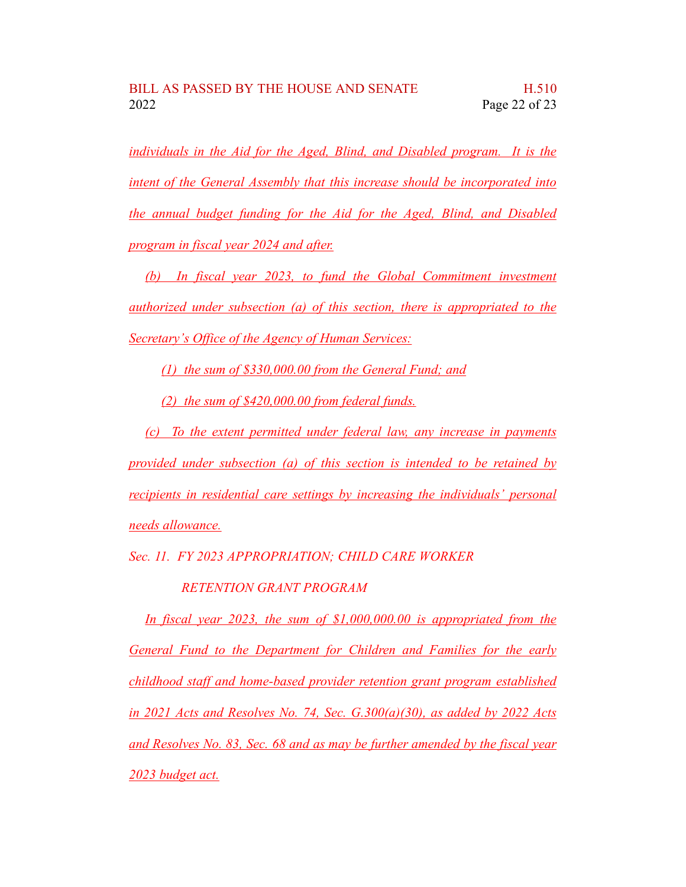*individuals in the Aid for the Aged, Blind, and Disabled program. It is the intent of the General Assembly that this increase should be incorporated into the annual budget funding for the Aid for the Aged, Blind, and Disabled program in fiscal year 2024 and after.*

*(b) In fiscal year 2023, to fund the Global Commitment investment authorized under subsection (a) of this section, there is appropriated to the Secretary's Office of the Agency of Human Services:*

*(1) the sum of \$330,000.00 from the General Fund; and*

*(2) the sum of \$420,000.00 from federal funds.*

*(c) To the extent permitted under federal law, any increase in payments provided under subsection (a) of this section is intended to be retained by recipients in residential care settings by increasing the individuals' personal needs allowance.*

*Sec. 11. FY 2023 APPROPRIATION; CHILD CARE WORKER*

*RETENTION GRANT PROGRAM*

*In fiscal year 2023, the sum of \$1,000,000.00 is appropriated from the General Fund to the Department for Children and Families for the early childhood staff and home-based provider retention grant program established in 2021 Acts and Resolves No. 74, Sec. G.300(a)(30), as added by 2022 Acts and Resolves No. 83, Sec. 68 and as may be further amended by the fiscal year 2023 budget act.*